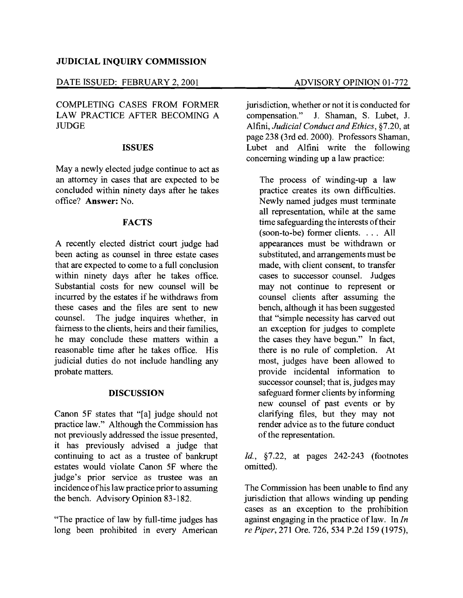# JUDICIAL INQUIRY COMMISSION

# DATE ISSUED: FEBRUARY 2, 2001 ADVISORY OPINION 01-772

COMPLETING CASES FROM FORMER LAW PRACTICE AFTER BECOMING A **JUDGE** 

### ISSUES

Maya newly elected judge continue to act as an attorney in cases that are expected to be concluded within ninety days after he takes office? Answer: No.

### FACTS

A recently elected district court judge had been acting as counsel in three estate cases that are expected to come to a full conclusion within ninety days after he takes office. Substantial costs for new counsel will be incurred by the estates if he withdraws from these cases and the files are sent to new counsel. The judge inquires whether, in fairness to the clients, heirs and their families, he may conclude these matters within a reasonable time after he takes office. His judicial duties do not include handling any probate matters.

#### DISCUSSION

Canon 5F states that "[a] judge should not practice law." Although the Commission has not previously addressed the issue presented, it has previously advised a judge that continuing to act as a trustee of bankrupt estates would violate Canon 5F where the judge's prior service as trustee was an incidence ofhis law practice prior to assuming the bench. Advisory Opinion 83-182.

"The practice of law by full-time judges has long been prohibited in every American jurisdiction, whether or not it is conducted for compensation." J. Shaman, S. Lubet, J. J. Shaman, S. Lubet, J. Alfini, *Judicial Conduct and Ethics,* §7.20, at page 238 (3rd ed. 2000). Professors Shaman, Lubet and Alfini write the following concerning winding up a law practice:

The process of winding-up a law practice creates its own difficulties. Newly named judges must terminate all representation, while at the same time safeguarding the interests of their  $(soon-to-be)$  former clients.  $\ldots$  All appearances must be withdrawn or substituted, and arrangements must be made, with client consent, to transfer cases to successor counsel. Judges may not continue to represent or counsel clients after assuming the bench, although it has been suggested that "simple necessity has carved out an exception for judges to complete the cases they have begun." In fact, there is no rule of completion. At most, judges have been allowed to provide incidental information to successor counsel; that is, judges may safeguard former clients by informing new counsel of past events or by clarifying files, but they may not render advice as to the future conduct of the representation.

*Id.,* §7.22, at pages 242-243 (footnotes omitted).

The Commission has been unable to find any jurisdiction that allows winding up pending cases as an exception to the prohibition against engaging in the practice of law. In *In re Piper,* 271 Ore. 726, 534 P.2d 159 (1975),